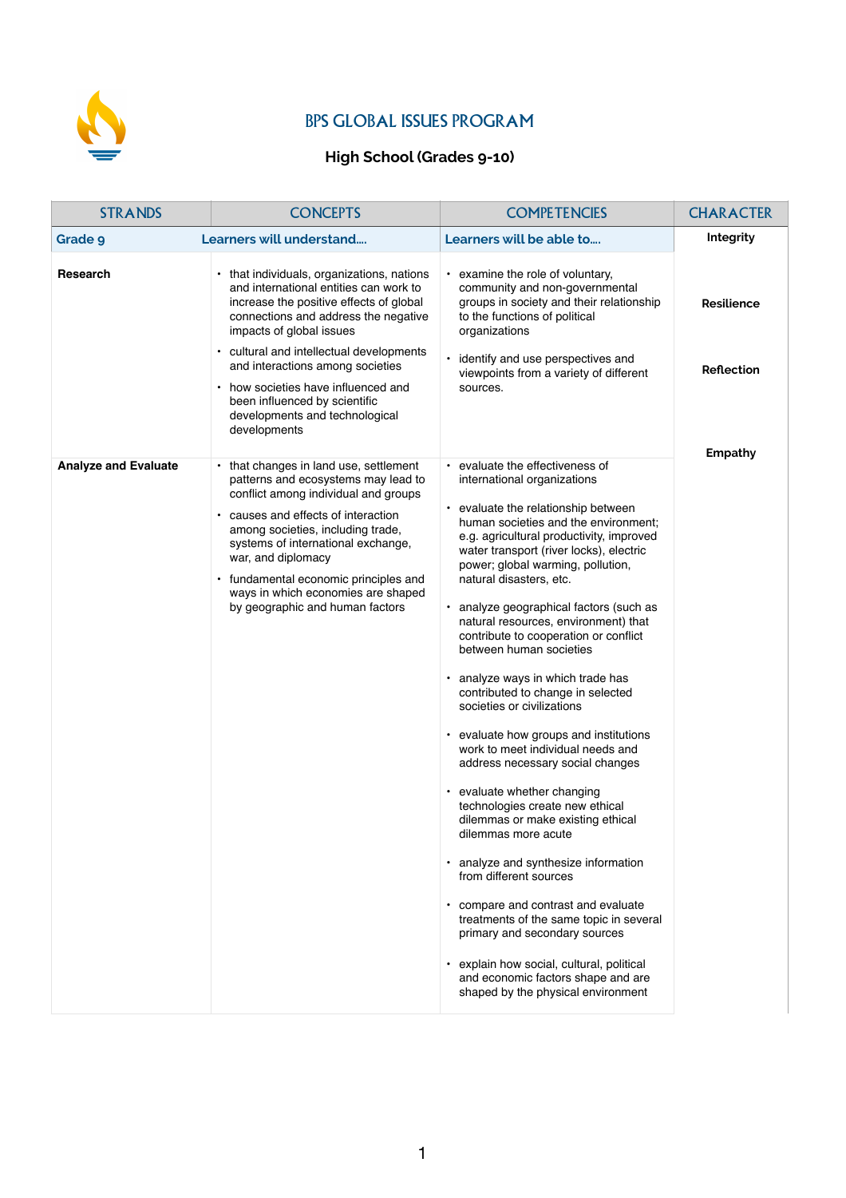

## BPS GLOBAL ISSUES PROGRAM

## **High School (Grades 9-10)**

| <b>STRANDS</b>              | <b>CONCEPTS</b>                                                                                                                                                                                                                                                                                                                                                                 | <b>COMPETENCIES</b>                                                                                                                                                                                                                                                                                                                                                                                                                                                                                                                                                                                                                                                                                                                                                                                                                                                                                                                                                                                                                                                                                                      | <b>CHARACTER</b>  |
|-----------------------------|---------------------------------------------------------------------------------------------------------------------------------------------------------------------------------------------------------------------------------------------------------------------------------------------------------------------------------------------------------------------------------|--------------------------------------------------------------------------------------------------------------------------------------------------------------------------------------------------------------------------------------------------------------------------------------------------------------------------------------------------------------------------------------------------------------------------------------------------------------------------------------------------------------------------------------------------------------------------------------------------------------------------------------------------------------------------------------------------------------------------------------------------------------------------------------------------------------------------------------------------------------------------------------------------------------------------------------------------------------------------------------------------------------------------------------------------------------------------------------------------------------------------|-------------------|
| <b>Grade 9</b>              | Learners will understand                                                                                                                                                                                                                                                                                                                                                        | Learners will be able to                                                                                                                                                                                                                                                                                                                                                                                                                                                                                                                                                                                                                                                                                                                                                                                                                                                                                                                                                                                                                                                                                                 | Integrity         |
| <b>Research</b>             | • that individuals, organizations, nations<br>and international entities can work to<br>increase the positive effects of global<br>connections and address the negative<br>impacts of global issues                                                                                                                                                                             | • examine the role of voluntary,<br>community and non-governmental<br>groups in society and their relationship<br>to the functions of political<br>organizations                                                                                                                                                                                                                                                                                                                                                                                                                                                                                                                                                                                                                                                                                                                                                                                                                                                                                                                                                         | <b>Resilience</b> |
|                             | • cultural and intellectual developments<br>and interactions among societies<br>• how societies have influenced and<br>been influenced by scientific<br>developments and technological<br>developments                                                                                                                                                                          | identify and use perspectives and<br>viewpoints from a variety of different<br>sources.                                                                                                                                                                                                                                                                                                                                                                                                                                                                                                                                                                                                                                                                                                                                                                                                                                                                                                                                                                                                                                  | <b>Reflection</b> |
|                             |                                                                                                                                                                                                                                                                                                                                                                                 |                                                                                                                                                                                                                                                                                                                                                                                                                                                                                                                                                                                                                                                                                                                                                                                                                                                                                                                                                                                                                                                                                                                          |                   |
| <b>Analyze and Evaluate</b> | • that changes in land use, settlement<br>patterns and ecosystems may lead to<br>conflict among individual and groups<br>• causes and effects of interaction<br>among societies, including trade,<br>systems of international exchange,<br>war, and diplomacy<br>• fundamental economic principles and<br>ways in which economies are shaped<br>by geographic and human factors | • evaluate the effectiveness of<br>international organizations<br>• evaluate the relationship between<br>human societies and the environment;<br>e.g. agricultural productivity, improved<br>water transport (river locks), electric<br>power; global warming, pollution,<br>natural disasters, etc.<br>· analyze geographical factors (such as<br>natural resources, environment) that<br>contribute to cooperation or conflict<br>between human societies<br>analyze ways in which trade has<br>contributed to change in selected<br>societies or civilizations<br>evaluate how groups and institutions<br>work to meet individual needs and<br>address necessary social changes<br>• evaluate whether changing<br>technologies create new ethical<br>dilemmas or make existing ethical<br>dilemmas more acute<br>analyze and synthesize information<br>from different sources<br>compare and contrast and evaluate<br>treatments of the same topic in several<br>primary and secondary sources<br>explain how social, cultural, political<br>and economic factors shape and are<br>shaped by the physical environment | <b>Empathy</b>    |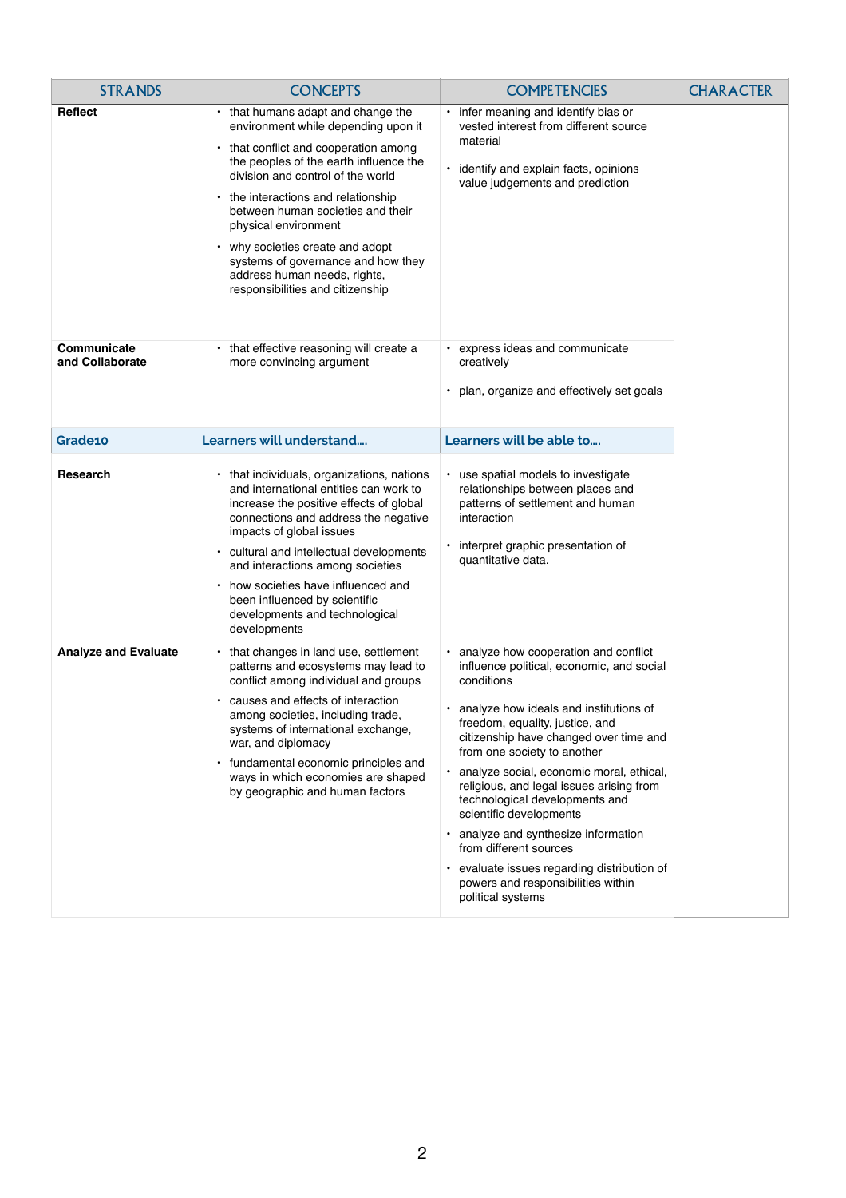| <b>STRANDS</b>                 | <b>CONCEPTS</b>                                                                                                                                                                                                                                                                                                                                                                                                                                     | <b>COMPETENCIES</b>                                                                                                                                                                                                                                                                                                                                                                                                                                                                                                                                                                    | <b>CHARACTER</b> |
|--------------------------------|-----------------------------------------------------------------------------------------------------------------------------------------------------------------------------------------------------------------------------------------------------------------------------------------------------------------------------------------------------------------------------------------------------------------------------------------------------|----------------------------------------------------------------------------------------------------------------------------------------------------------------------------------------------------------------------------------------------------------------------------------------------------------------------------------------------------------------------------------------------------------------------------------------------------------------------------------------------------------------------------------------------------------------------------------------|------------------|
| <b>Reflect</b>                 | • that humans adapt and change the<br>environment while depending upon it<br>• that conflict and cooperation among<br>the peoples of the earth influence the<br>division and control of the world<br>• the interactions and relationship<br>between human societies and their<br>physical environment<br>• why societies create and adopt<br>systems of governance and how they<br>address human needs, rights,<br>responsibilities and citizenship | infer meaning and identify bias or<br>vested interest from different source<br>material<br>identify and explain facts, opinions<br>value judgements and prediction                                                                                                                                                                                                                                                                                                                                                                                                                     |                  |
| Communicate<br>and Collaborate | • that effective reasoning will create a<br>more convincing argument                                                                                                                                                                                                                                                                                                                                                                                | • express ideas and communicate<br>creatively<br>• plan, organize and effectively set goals                                                                                                                                                                                                                                                                                                                                                                                                                                                                                            |                  |
| Grade10                        | Learners will understand                                                                                                                                                                                                                                                                                                                                                                                                                            | Learners will be able to                                                                                                                                                                                                                                                                                                                                                                                                                                                                                                                                                               |                  |
| Research                       | • that individuals, organizations, nations<br>and international entities can work to<br>increase the positive effects of global<br>connections and address the negative<br>impacts of global issues<br>• cultural and intellectual developments<br>and interactions among societies<br>how societies have influenced and<br>been influenced by scientific<br>developments and technological<br>developments                                         | • use spatial models to investigate<br>relationships between places and<br>patterns of settlement and human<br>interaction<br>interpret graphic presentation of<br>$\bullet$<br>quantitative data.                                                                                                                                                                                                                                                                                                                                                                                     |                  |
| <b>Analyze and Evaluate</b>    | • that changes in land use, settlement<br>patterns and ecosystems may lead to<br>conflict among individual and groups<br>causes and effects of interaction<br>among societies, including trade,<br>systems of international exchange,<br>war, and diplomacy<br>• fundamental economic principles and<br>ways in which economies are shaped<br>by geographic and human factors                                                                       | • analyze how cooperation and conflict<br>influence political, economic, and social<br>conditions<br>analyze how ideals and institutions of<br>freedom, equality, justice, and<br>citizenship have changed over time and<br>from one society to another<br>analyze social, economic moral, ethical,<br>religious, and legal issues arising from<br>technological developments and<br>scientific developments<br>analyze and synthesize information<br>from different sources<br>• evaluate issues regarding distribution of<br>powers and responsibilities within<br>political systems |                  |